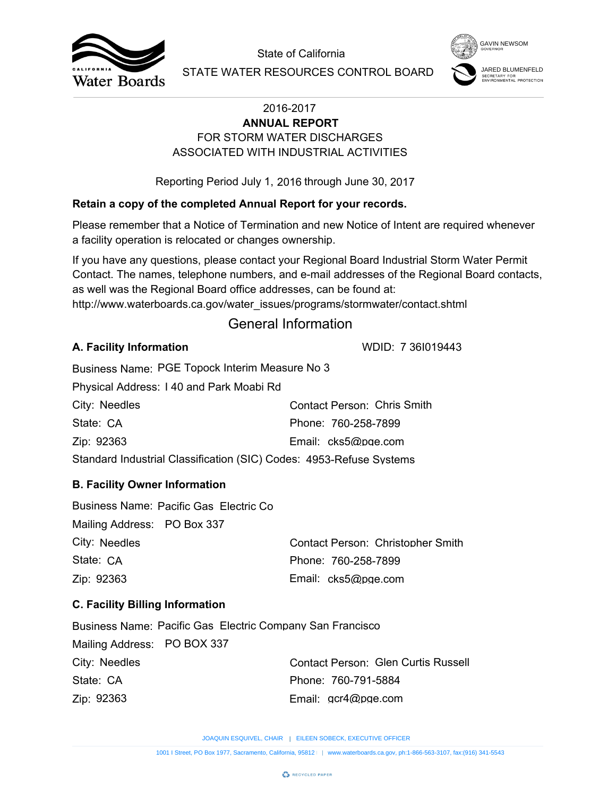



# FOR STORM WATER DISCHARGES **ANNUAL REPORT** ASSOCIATED WITH INDUSTRIAL ACTIVITIES

## **Retain a copy of the completed Annual Report for your records.**

## General Information

### **A. Facility Information**

| City: Needles                                                       | Contact Person: Chris Smith |  |  |  |
|---------------------------------------------------------------------|-----------------------------|--|--|--|
| State: CA                                                           | Phone: 760-258-7899         |  |  |  |
| Zip: 92363                                                          | Email: cks5@pge.com         |  |  |  |
| Standard Industrial Classification (SIC) Codes: 4953-Refuse Systems |                             |  |  |  |

## **B. Facility Owner Information**

|                                        |                                                                   | State of California                                                                                                                                                                                                                                                        | <b>GAVIN NEWSOM</b>                             |
|----------------------------------------|-------------------------------------------------------------------|----------------------------------------------------------------------------------------------------------------------------------------------------------------------------------------------------------------------------------------------------------------------------|-------------------------------------------------|
| <b>Water Boards</b>                    |                                                                   | STATE WATER RESOURCES CONTROL BOARD                                                                                                                                                                                                                                        | SECRETARY FOR<br><b>NVIRONMENTAL PROTECTION</b> |
|                                        |                                                                   | 2016-2017<br><b>ANNUAL REPORT</b>                                                                                                                                                                                                                                          |                                                 |
|                                        |                                                                   | FOR STORM WATER DISCHARGES                                                                                                                                                                                                                                                 |                                                 |
|                                        |                                                                   | ASSOCIATED WITH INDUSTRIAL ACTIVITIES                                                                                                                                                                                                                                      |                                                 |
|                                        |                                                                   | Reporting Period July 1, 2016 through June 30, 2017                                                                                                                                                                                                                        |                                                 |
|                                        |                                                                   | Retain a copy of the completed Annual Report for your records.                                                                                                                                                                                                             |                                                 |
|                                        | a facility operation is relocated or changes ownership.           | Please remember that a Notice of Termination and new Notice of Intent are required whenever                                                                                                                                                                                |                                                 |
|                                        | as well was the Regional Board office addresses, can be found at: | If you have any questions, please contact your Regional Board Industrial Storm Water Permit<br>Contact. The names, telephone numbers, and e-mail addresses of the Regional Board contacts,<br>http://www.waterboards.ca.gov/water_issues/programs/stormwater/contact.shtml |                                                 |
|                                        |                                                                   | <b>General Information</b>                                                                                                                                                                                                                                                 |                                                 |
| A. Facility Information                |                                                                   | WDID: 7 361019443                                                                                                                                                                                                                                                          |                                                 |
|                                        | Business Name: PGE Topock Interim Measure No 3                    |                                                                                                                                                                                                                                                                            |                                                 |
|                                        | Physical Address: 140 and Park Moabi Rd                           |                                                                                                                                                                                                                                                                            |                                                 |
| City: Needles                          |                                                                   | <b>Contact Person: Chris Smith</b>                                                                                                                                                                                                                                         |                                                 |
| State: CA                              |                                                                   | Phone: 760-258-7899                                                                                                                                                                                                                                                        |                                                 |
| Zip: 92363                             |                                                                   | Email: cks5@pge.com                                                                                                                                                                                                                                                        |                                                 |
|                                        |                                                                   | Standard Industrial Classification (SIC) Codes: 4953-Refuse Systems                                                                                                                                                                                                        |                                                 |
| <b>B. Facility Owner Information</b>   |                                                                   |                                                                                                                                                                                                                                                                            |                                                 |
| Mailing Address: PO Box 337            | Business Name: Pacific Gas Electric Co                            |                                                                                                                                                                                                                                                                            |                                                 |
| City: Needles                          |                                                                   | Contact Person: Christopher Smith                                                                                                                                                                                                                                          |                                                 |
| State: CA                              |                                                                   | Phone: 760-258-7899                                                                                                                                                                                                                                                        |                                                 |
| Zip: 92363                             |                                                                   | Email: cks5@pge.com                                                                                                                                                                                                                                                        |                                                 |
| <b>C. Facility Billing Information</b> |                                                                   |                                                                                                                                                                                                                                                                            |                                                 |
|                                        | <b>Business Name: Pacific Gas Electric Company San Francisco</b>  |                                                                                                                                                                                                                                                                            |                                                 |
| Mailing Address: PO BOX 337            |                                                                   |                                                                                                                                                                                                                                                                            |                                                 |
| City: Needles                          |                                                                   | <b>Contact Person: Glen Curtis Russell</b>                                                                                                                                                                                                                                 |                                                 |
| State: CA                              |                                                                   | Phone: 760-791-5884                                                                                                                                                                                                                                                        |                                                 |
| Zip: 92363                             |                                                                   | Email: gcr4@pge.com                                                                                                                                                                                                                                                        |                                                 |
|                                        |                                                                   | JOAQUIN ESQUIVEL, CHAIR   EILEEN SOBECK, EXECUTIVE OFFICER                                                                                                                                                                                                                 |                                                 |
|                                        |                                                                   | 1001   Street, PO Box 1977, Sacramento, California, 95812     www.waterboards.ca.gov, ph:1-866-563-3107, fax:(916) 341-5543                                                                                                                                                |                                                 |

## **C. Facility Billing Information**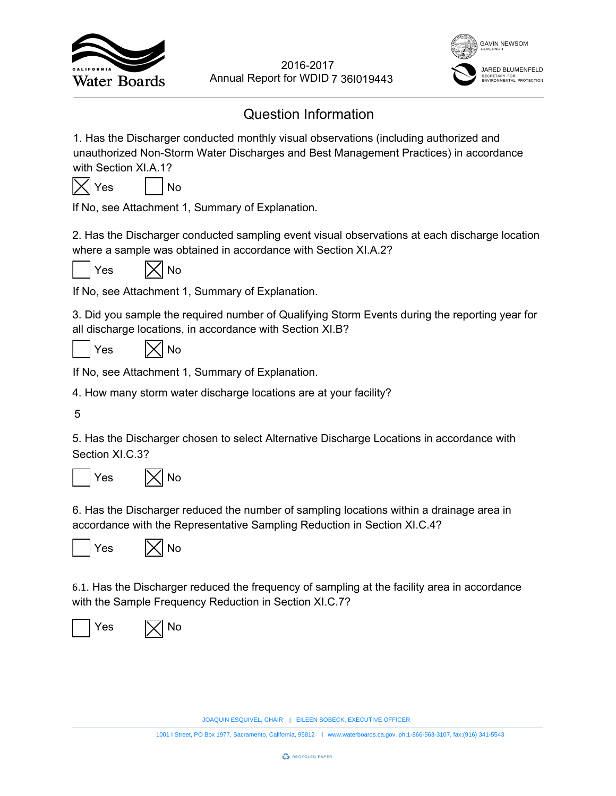



## Question Information

1. Has the Discharger conducted monthly visual observations (including authorized and unauthorized Non-Storm Water Discharges and Best Management Practices) in accordance with Section XI.A.1? EVERT YOUTHERN SOBECTS AND MOTHERN SOMETHED WORD 7 361019443<br>
Information<br>
and beservations (including authorized and<br>
deset Management Practices) in accordance<br>
tion.<br>
sent visual observations at each discharge location<br> 2016-2017<br>
18<br>
18<br>
18<br>
18<br>
2016-2017<br>
2018-2017<br>
2018-2017<br>
2019-2017<br>
2019-2017<br>
2019-2017<br>
2019-2017<br>
2019-2017<br>
2019-<br>
2017<br>
2020-<br>
2020-<br>
2020-<br>
2020-<br>
2020-<br>
2020-<br>
2020-<br>
2020-<br>
2020-<br>
2020-<br>
2020-<br>
2020-<br>
2020-<br>
20



If No, see Attachment 1, Summary of Explanation.

2. Has the Discharger conducted sampling event visual observations at each discharge location where a sample was obtained in accordance with Section XI.A.2?



 $Yes$   $|\times|$  No

If No, see Attachment 1, Summary of Explanation.

3. Did you sample the required number of Qualifying Storm Events during the reporting year for all discharge locations, in accordance with Section XI.B?

 $Yes$   $|\times|$  No

If No, see Attachment 1, Summary of Explanation.

4. How many storm water discharge locations are at your facility?

5

5. Has the Discharger chosen to select Alternative Discharge Locations in accordance with Section XI.C.3?



6. Has the Discharger reduced the number of sampling locations within a drainage area in accordance with the Representative Sampling Reduction in Section XI.C.4?





6.1. Has the Discharger reduced the frequency of sampling at the facility area in accordance with the Sample Frequency Reduction in Section XI.C.7?



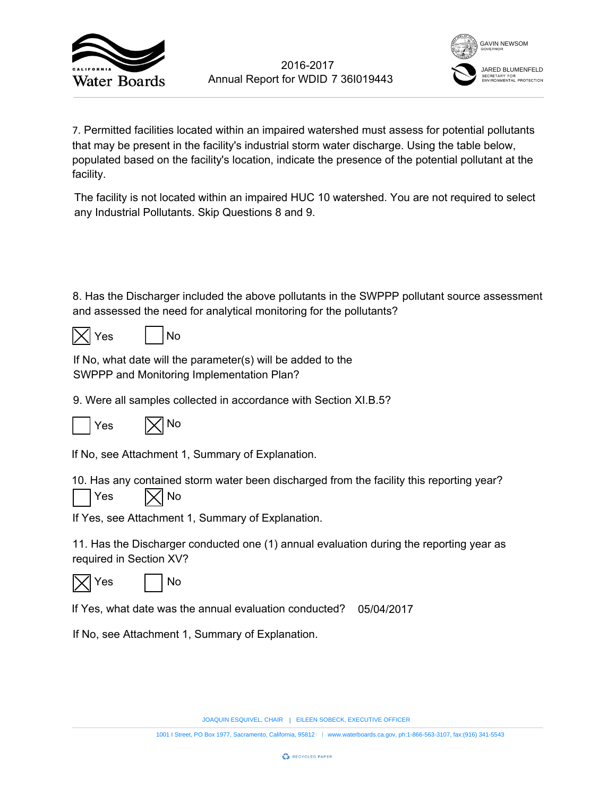

![](_page_2_Picture_2.jpeg)

7. Permitted facilities located within an impaired watershed must assess for potential pollutants that may be present in the facility's industrial storm water discharge. Using the table below, populated based on the facility's location, indicate the presence of the potential pollutant at the facility. 7 36l019443<br>
rshed must asse<br>
eter discharge. U<br>
presence of the<br>
watershed. You<br>
n the SWPPP pc<br>
ne pollutants?<br>
b the<br>
tion XI.B.5?<br>
b the<br>
divided by the<br>
divided by the<br>
divided by the<br>
divided by the divided by the<br>
d 2016-2017<br>
1001 Is Annual Report for WDID 7 361019443<br>
1001 Is conceded within an impaired watershed must assess for potential pollutants<br>
anti-<br>
and the final is transition in the factility's industrial storm water discha

The facility is not located within an impaired HUC 10 watershed. You are not required to select any Industrial Pollutants. Skip Questions 8 and 9.

8. Has the Discharger included the above pollutants in the SWPPP pollutant source assessment and assessed the need for analytical monitoring for the pollutants?

|--|

| ≏ |  | N٥ |
|---|--|----|
|---|--|----|

If No, what date will the parameter(s) will be added to the SWPPP and Monitoring Implementation Plan?

9. Were all samples collected in accordance with Section XI.B.5?

![](_page_2_Picture_11.jpeg)

If No, see Attachment 1, Summary of Explanation.

10. Has any contained storm water been discharged from the facility this reporting year?

![](_page_2_Picture_14.jpeg)

![](_page_2_Picture_15.jpeg)

If Yes, see Attachment 1, Summary of Explanation.

11. Has the Discharger conducted one (1) annual evaluation during the reporting year as required in Section XV?

![](_page_2_Picture_18.jpeg)

Yes | | No

If Yes, what date was the annual evaluation conducted? 05/04/2017

If No, see Attachment 1, Summary of Explanation.

JOAQUIN ESQUIVEL, CHAIR | EILEEN SOBECK, EXECUTIVE OFFICER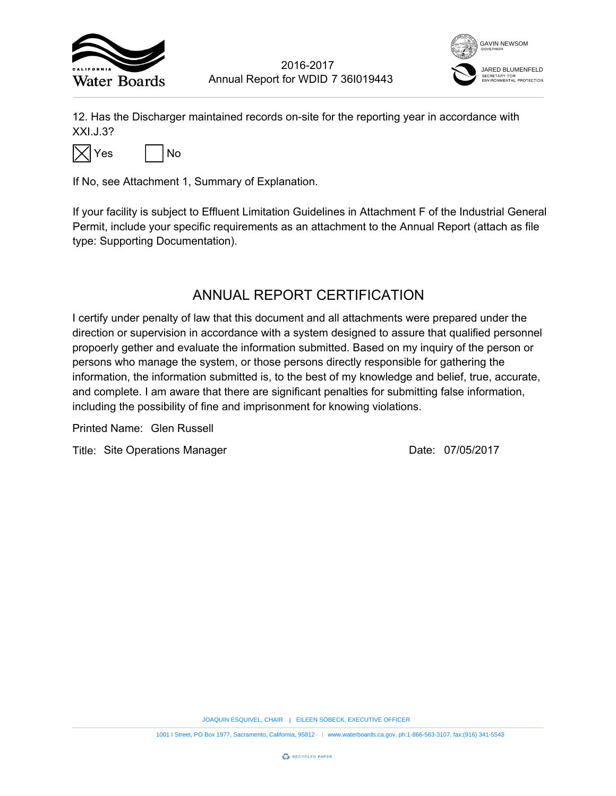![](_page_3_Picture_0.jpeg)

![](_page_3_Picture_2.jpeg)

12. Has the Discharger maintained records on-site for the reporting year in accordance with XXI.J.3?

![](_page_3_Picture_4.jpeg)

If No, see Attachment 1, Summary of Explanation.

If your facility is subject to Effluent Limitation Guidelines in Attachment F of the Industrial General Permit, include your specific requirements as an attachment to the Annual Report (attach as file type: Supporting Documentation).

## ANNUAL REPORT CERTIFICATION

I certify under penalty of law that this document and all attachments were prepared under the direction or supervision in accordance with a system designed to assure that qualified personnel propoerly gether and evaluate the information submitted. Based on my inquiry of the person or persons who manage the system, or those persons directly responsible for gathering the information, the information submitted is, to the best of my knowledge and belief, true, accurate, and complete. I am aware that there are significant penalties for submitting false information, including the possibility of fine and imprisonment for knowing violations. 7 36I019443<br>
The reporting year in accordance<br>
the reporting year in accordance<br>
the reporting of the Industria<br>
ERTIFICATION<br>
Ill attachments were prepared und<br>
designed to assure that qualified p<br>
the pirectly responsibl EXECUTIVE THE SURFACT THE SOBECT THE SURFACT THE SURFACT THE SURFACT THE SURFACT THE SURFACT THE SURFACT THE SURFACT THE SURFACT THAT AND MONUMENT SURFACT THAT AND NOT SURFACT THAT AND DRIVIDENT SURFACT THAT AN ONCE THE SU 1001 I Street, PORT CONT<br>
1001 I Street, PORT CHAIRCONS CONSIDERED TO A BOX 1977, SACRAMENT AND THE STREET CONSIDERED TO A BOX 1977, THE STREET CONSIDERED TO A BOX 1977, THE STREET CONSIDERED TO A BOX 1-8743 CALIFORNIA, fa

Printed Name:

Title: Site Operations Manager Case Controller Controller Date: 07/05/2017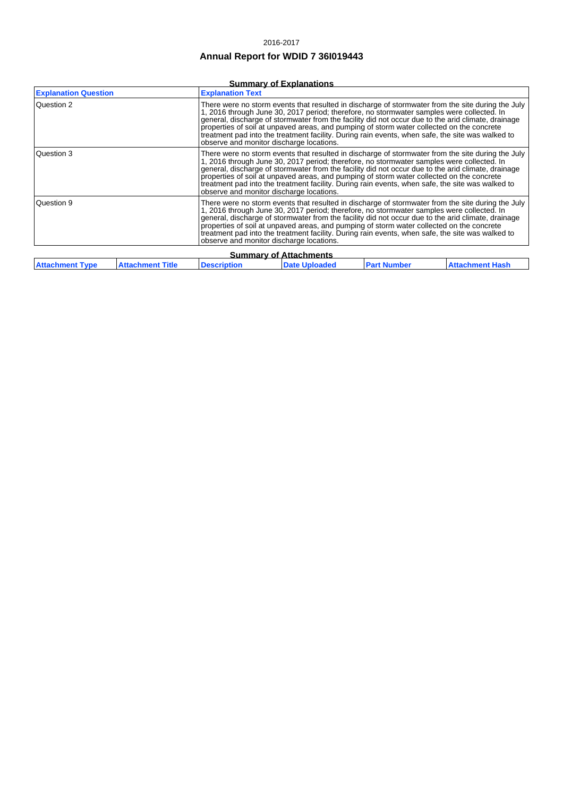#### 2016-2017

### **Annual Report for WDID 7 36I019443**

### **Summary of Explanations**

| <b>Explanation Question</b>                                                                                                                                                                                                                                                                                                                                                                                                                                                                                                                                     |                         | <b>Explanation Text</b>                                                                                                                                                                                                                                                                                                                                                                                                                                                                                                                           |                      |                    |                        |
|-----------------------------------------------------------------------------------------------------------------------------------------------------------------------------------------------------------------------------------------------------------------------------------------------------------------------------------------------------------------------------------------------------------------------------------------------------------------------------------------------------------------------------------------------------------------|-------------------------|---------------------------------------------------------------------------------------------------------------------------------------------------------------------------------------------------------------------------------------------------------------------------------------------------------------------------------------------------------------------------------------------------------------------------------------------------------------------------------------------------------------------------------------------------|----------------------|--------------------|------------------------|
| Question 2                                                                                                                                                                                                                                                                                                                                                                                                                                                                                                                                                      |                         | There were no storm events that resulted in discharge of stormwater from the site during the July<br>1, 2016 through June 30, 2017 period; therefore, no stormwater samples were collected. In<br>general, discharge of stormwater from the facility did not occur due to the arid climate, drainage<br>properties of soil at unpayed areas, and pumping of storm water collected on the concrete<br>treatment pad into the treatment facility. During rain events, when safe, the site was walked to<br>observe and monitor discharge locations. |                      |                    |                        |
| Question 3                                                                                                                                                                                                                                                                                                                                                                                                                                                                                                                                                      |                         | There were no storm events that resulted in discharge of stormwater from the site during the July<br>1, 2016 through June 30, 2017 period; therefore, no stormwater samples were collected. In<br>general, discharge of stormwater from the facility did not occur due to the arid climate, drainage<br>properties of soil at unpaved areas, and pumping of storm water collected on the concrete<br>treatment pad into the treatment facility. During rain events, when safe, the site was walked to<br>observe and monitor discharge locations. |                      |                    |                        |
| Question 9<br>There were no storm events that resulted in discharge of stormwater from the site during the July<br>1, 2016 through June 30, 2017 period; therefore, no stormwater samples were collected. In<br>general, discharge of stormwater from the facility did not occur due to the arid climate, drainage<br>properties of soil at unpaved areas, and pumping of storm water collected on the concrete<br>treatment pad into the treatment facility. During rain events, when safe, the site was walked to<br>observe and monitor discharge locations. |                         |                                                                                                                                                                                                                                                                                                                                                                                                                                                                                                                                                   |                      |                    |                        |
| <b>Summary of Attachments</b>                                                                                                                                                                                                                                                                                                                                                                                                                                                                                                                                   |                         |                                                                                                                                                                                                                                                                                                                                                                                                                                                                                                                                                   |                      |                    |                        |
| <b>Attachment Type</b>                                                                                                                                                                                                                                                                                                                                                                                                                                                                                                                                          | <b>Attachment Title</b> | <b>Description</b>                                                                                                                                                                                                                                                                                                                                                                                                                                                                                                                                | <b>Date Uploaded</b> | <b>Part Number</b> | <b>Attachment Hash</b> |